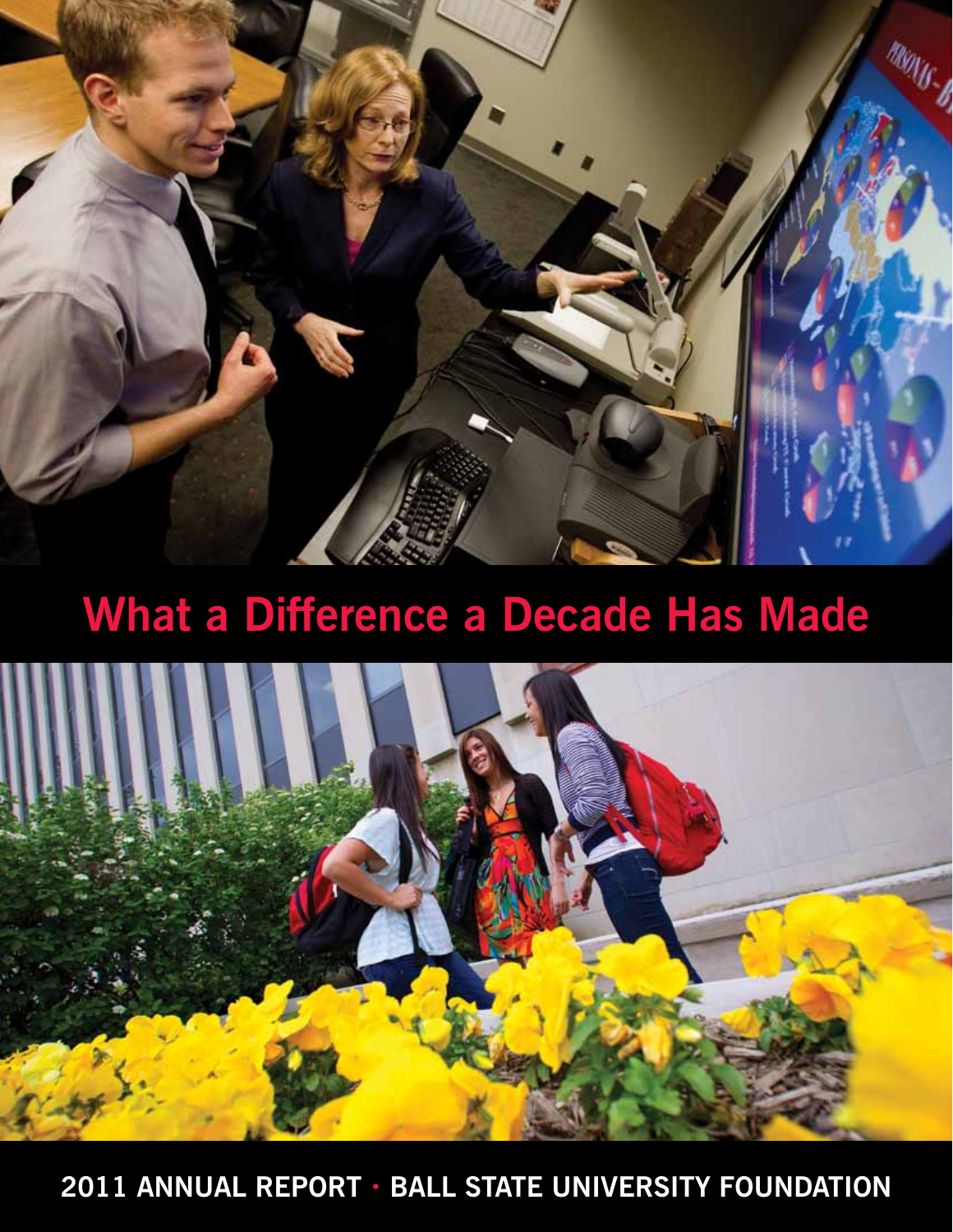

# **What a Difference a Decade Has Made**



**2011 Annual Report • Ball State University Foundation**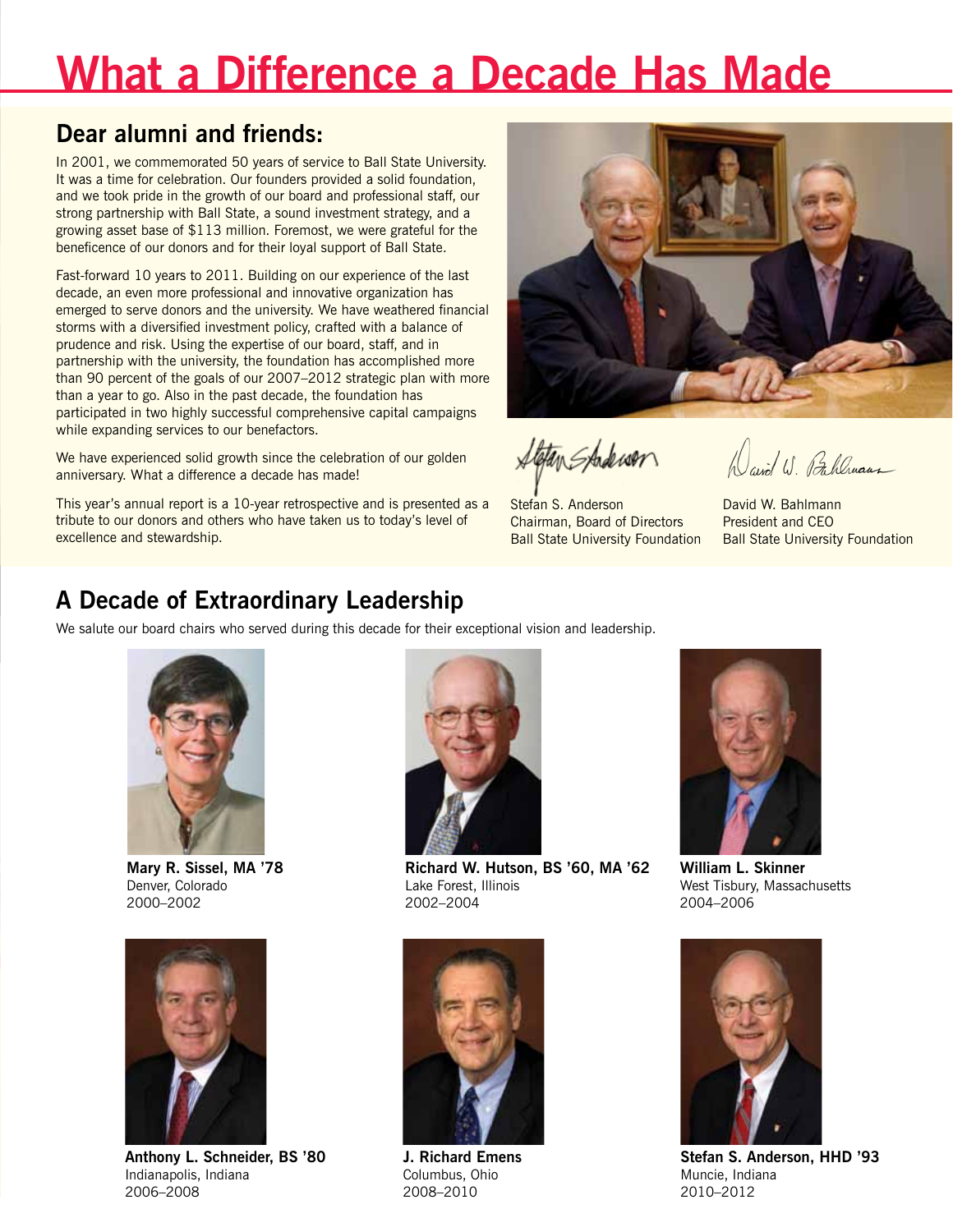# **What a Difference a Decade Has Made**

## **Dear alumni and friends:**

In 2001, we commemorated 50 years of service to Ball State University. It was a time for celebration. Our founders provided a solid foundation, and we took pride in the growth of our board and professional staff, our strong partnership with Ball State, a sound investment strategy, and a growing asset base of \$113 million. Foremost, we were grateful for the beneficence of our donors and for their loyal support of Ball State.

Fast-forward 10 years to 2011. Building on our experience of the last decade, an even more professional and innovative organization has emerged to serve donors and the university. We have weathered financial storms with a diversified investment policy, crafted with a balance of prudence and risk. Using the expertise of our board, staff, and in partnership with the university, the foundation has accomplished more than 90 percent of the goals of our 2007–2012 strategic plan with more than a year to go. Also in the past decade, the foundation has participated in two highly successful comprehensive capital campaigns while expanding services to our benefactors.

We have experienced solid growth since the celebration of our golden anniversary. What a difference a decade has made!

This year's annual report is a 10-year retrospective and is presented as a tribute to our donors and others who have taken us to today's level of excellence and stewardship.



fletan Stadewar

Stefan S. Anderson Chairman, Board of Directors Ball State University Foundation

Wavid W. Pahlman

David W. Bahlmann President and CEO Ball State University Foundation

## **A Decade of Extraordinary Leadership**

We salute our board chairs who served during this decade for their exceptional vision and leadership.



**Mary R. Sissel, MA '78** Denver, Colorado 2000–2002



**Anthony L. Schneider, BS '80** Indianapolis, Indiana 2006–2008



**Richard W. Hutson, BS '60, MA '62** Lake Forest, Illinois 2002–2004



**J. Richard Emens** Columbus, Ohio 2008–2010



**William L. Skinner** West Tisbury, Massachusetts 2004–2006



**Stefan S. Anderson, HHD '93** Muncie, Indiana 2010–2012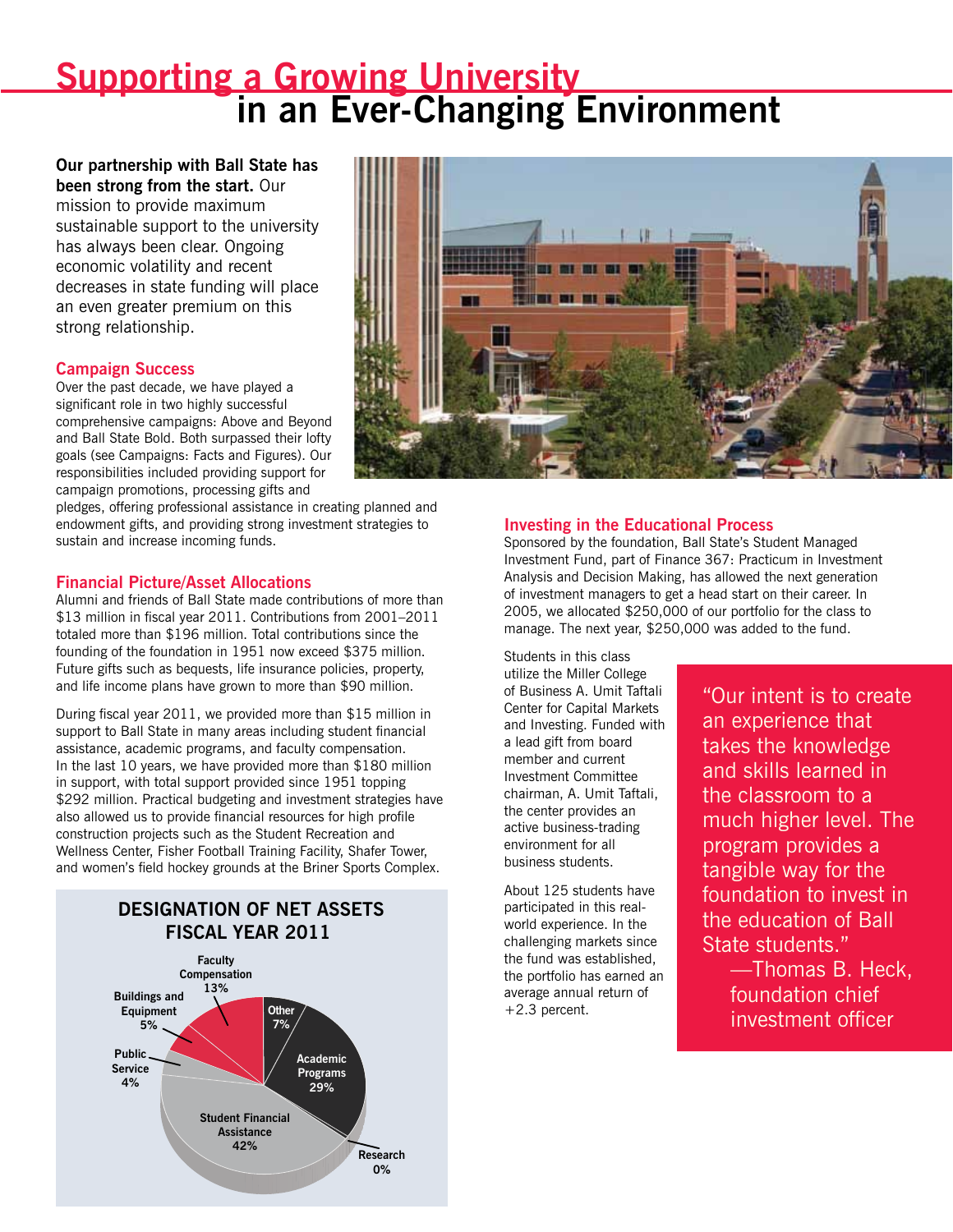## **Progress + Promise: A Look at the Last 10 Years**

#### **Our last 10 years were filled with achievements and challenges that required creative solutions.**

What made this decade stand out was the significant growth and development of the foundation in the areas of board governance, investment strategy, university support, and donor stewardship.

### **A Fully Engaged Board**

In line with our goal of ever improving the efficiency of the foundation, we have taken thoughtful steps to expand governance procedures and policies. Improvements to our organizational structure, committee development, the creation of task forces, and a comprehensive strategic plan have all been integral to this process.

## **Board and Committee Development**

Our board of directors has grown both in size and scope of functionality, with 31 voting members and active committees that focus on board development and administration, investments, operations and finance, audit, and philanthropy. Our board consists of a wide variety of professionals responsible for the broad strategic direction and key policies as well as the overall governance and accountability of the organization. Service on committees in their areas of expertise allows members to become engaged and use their skills.

In 2004, we recognized that there would be significant turnover in the years ahead due to term limits on our board members, so an initiative to recruit top level executives and professionals was put into action. Consequently, our board has developed into a highly diversified set of leaders from all over the country with the skills needed to add value to the organization. Kent "Oz" Nelson, BS '59, LLD '94, then chairman of the Committee on Directors, is proud of the depth of talent that has been recruited. "The results are evident," he says.

Last year, Penny A. Ralston, BS '71, chair of the Committee on Directors, led a task force examining board members' commitments and responsibilities, a process facilitated by each member completing an extensive survey. The task force divided itself into two groups: the structure and content group,

which focused on board composition, board meeting efficiency, and utilization of committees, and the board engagement task force, which looked at operational processes, accountability, engagement, and the mentoring and orientation of new members.

The newest committee, the Planned and Endowment Giving Committee, formed in 2004, has served as an asset for long-term fundraising efforts. Currently chaired by John R. Seffrin, BS '66, HSD '94, CEO of the American Cancer Society, the committee reviews program policies and procedures and assists with the cultivation, education, solicitation, and promotion of planned and endowed gifts.

## **Strategic Plan**

In 2007, we unveiled our first long-term strategic plan, a set of goals that would guide future decisions and policy-making procedures. These six goals have helped us focus on achieving our vision and mission in a time of fast paced evolution, challenges, and opportunities.

Implementation of the strategic plan has substantially contributed to the strength of the foundation as a partner of the university and facilitated the provision of stable financial support to the university during recent times of upheaval and volatility in the financial markets. Next year, a task force will forge a new strategic plan for 2012–2017.

"The task ahead is to start with a clean slate and seek the most effective means for supporting this ever changing university in the years ahead," says Stefan S. Anderson, foundation board chairman. "It is part of our culture and mission to expect our foundation to continuously improve and seek new horizons to support Ball State and its donors."

### **Goals: 2007–2012 Strategic Plan**

- **• Service to Constituents**—Offer unparalleled service to all constituents, including the university, donors, and beneficiaries.
- **• Investment Management**—Use effective investment strategies to maximize long-term performance for a growing asset base.
- **Fundraising**—Through the board, the foundation will become an active participant and catalyst for fundraising initiatives.
- **• Volunteer and Staff Development**—Engage in ongoing development and succession strategies to ensure effectiveness.
- **Organizational Structure**—Continuously pursue an efficient organizational system.
- **• Integrated Operational Model**—As an independent nonprofit, the foundation strives to operate in an integrated manner with other divisions of Ball State.

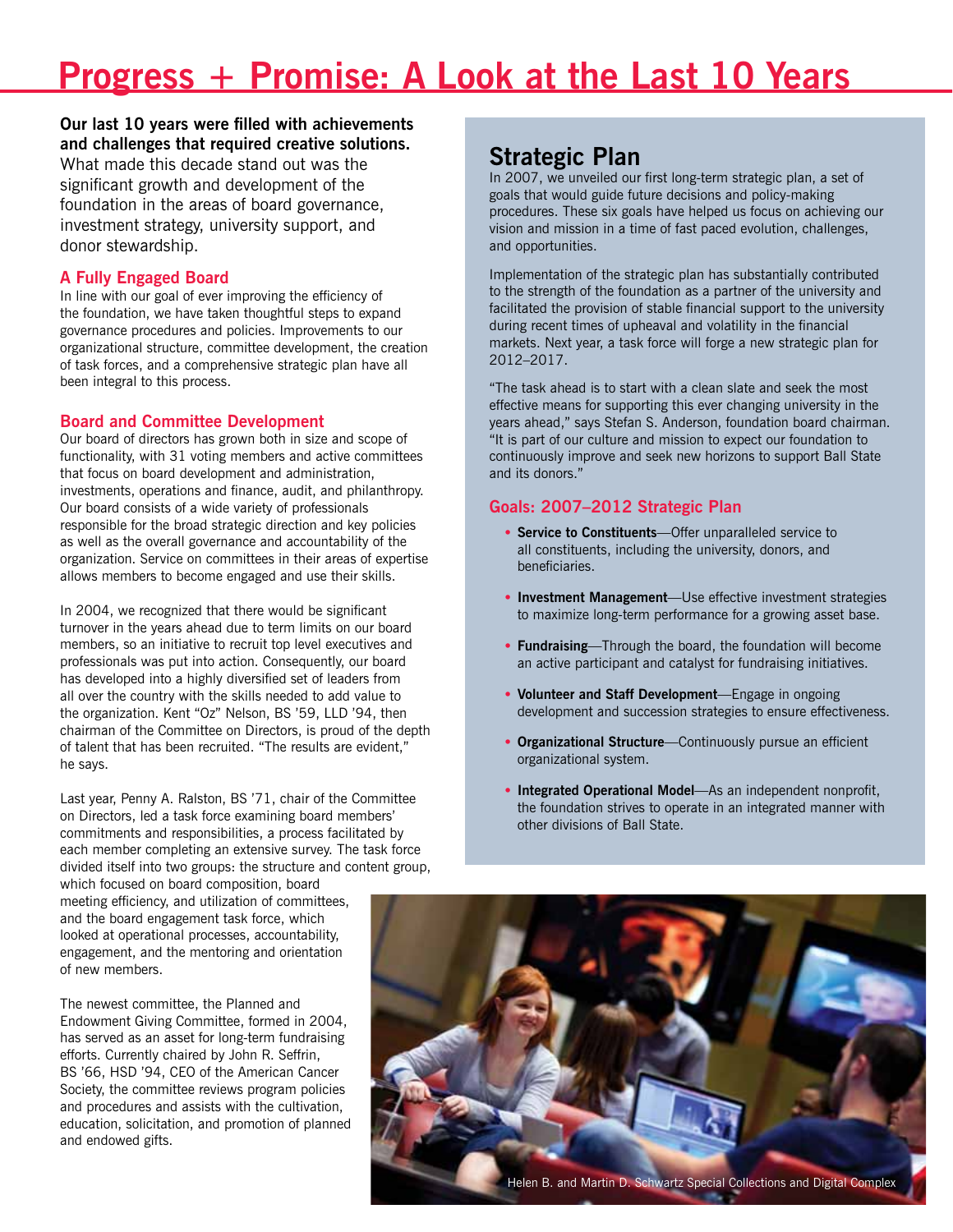## **Nationally Recognized Investment Practices**

**In a decade of turbulent economic change, we have managed to persevere despite the market conditions.**  Our assets have grown and the investing process has become more complicated, but our mission remains the same: to provide maximum, sustainable support to Ball State.

### **Small Nonprofit of the Year**

In 2007, we were named Small Nonprofit of the Year by the editorial staff of *Alternative Investment News* and *Foundation and Endowment Money Management* at the seventh annual Nonprofit Awards for Excellence. Decades in the making, the award for the effective implementation of our investment policies and results is due to the innovation and creativity of our board, investment committee, and staff.

We were selected out of a pool of several thousand peer colleges and universities, all of whom have assets under \$500 million. Contenders were judged on performance, investment decisions, and use of managers and consultants.

At the time, the work of the Investment Committee, then chaired by J. Richard Emens, consulting firm Hammond Associates, and members of foundation staff produced results that by September 30, 2007, had generated a five-year average investment return of 17 percent.

### **Asset Growth**

From the period of 2001–2011 our assets have grown from \$113 million to more than \$199 million.

Over the past decade, the allocation of our assets has changed as the financial markets have changed. In 2001, assets were split between equity (70 percent) and fixed income (30 percent). In 2003, we hired Hammond Associates as a consultant and a year later started allocating up to 50 percent of our assets to alternative investments such as private equity, real assets, and hedge funds. Our current asset plan has evolved to the percentages in the chart below.

In fiscal year  $2011$ , we achieved  $+20.6$  percent in investment returns—the third highest return in foundation history, behind only fiscal years 1985 and 1997. This carries the five year average annual return to 2.3 percent, the 10-year return to 5.2 percent, and the 20-year return to 8.3 percent.

### **POLICY ASSET ALLOCATION, FISCAL YEAR 2011**



#### **A Distinctive Model—CIO/Investment Manager Liaison**

In 2010 and 2011, considerable thought and planning was devoted to the development of our current model investment management structure. Chief Investment Officer Thomas B. Heck, MS '83, has a distinctive role as the interactive staff professional working with the foundation and our third party investment firm, Perella Weinberg Partners.

By using Perella Weinberg Partners, the foundation has access to resources it would not be able to build internally, while enabling us to tailor our investment policies, objectives, and asset allocation to fit our mission and needs.



## **Investment Return Policy**

In the years since 2007, we have modified our Investment Policy Statement and the investment objectives as financial markets and university needs have changed. Today, given the reduced public funding for higher education, we are structuring our investment process and portfolio to target a gross long-term return of 9 percent in order to support the university's anticipated needs for higher levels of funding.

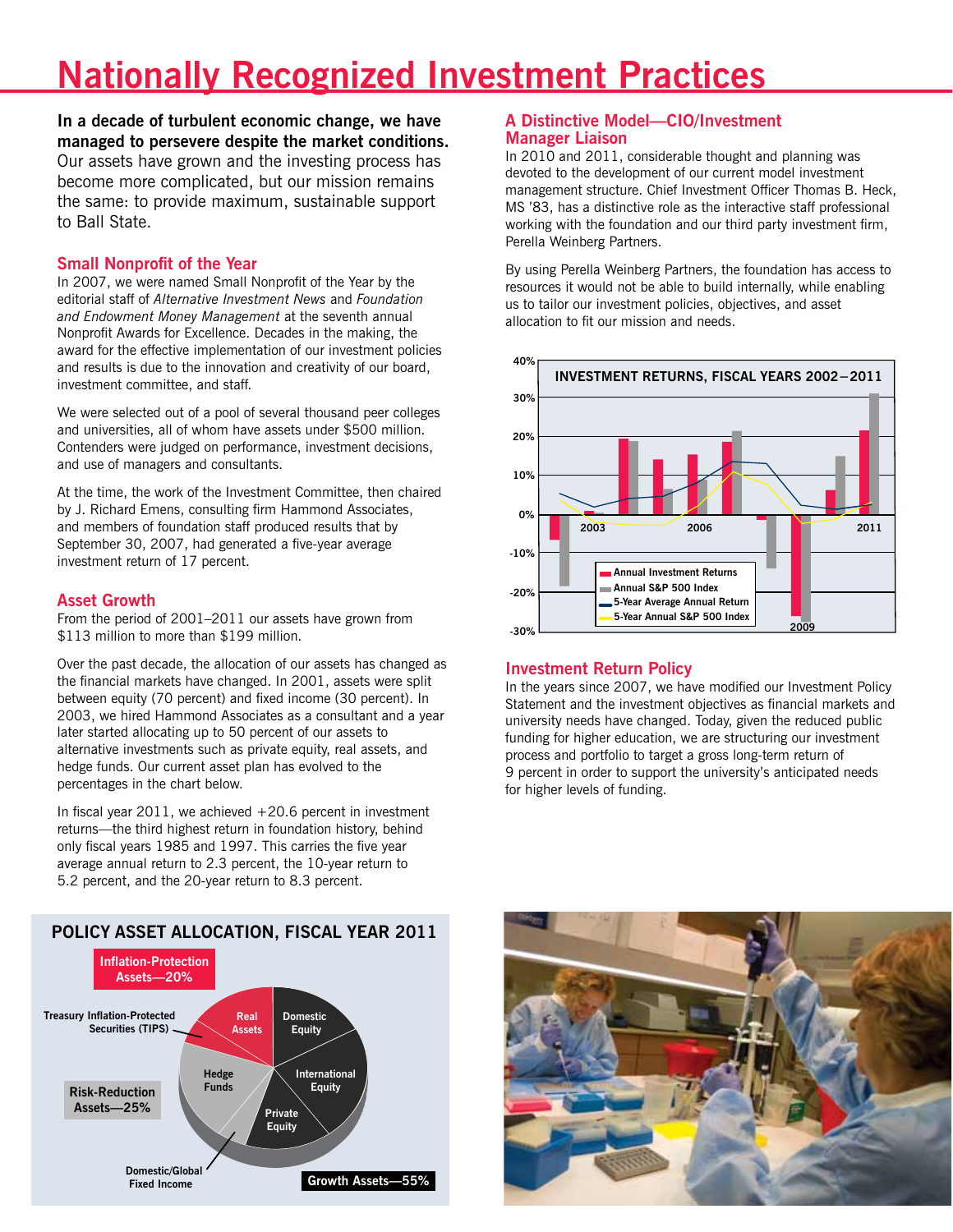## **Supporting a Growing University** *ii* **in an Ever-Changing Environment**

**Our partnership with Ball State has been strong from the start.** Our

mission to provide maximum sustainable support to the university has always been clear. Ongoing economic volatility and recent decreases in state funding will place an even greater premium on this strong relationship.

## **Campaign Success**

Over the past decade, we have played a significant role in two highly successful comprehensive campaigns: Above and Beyond and Ball State Bold. Both surpassed their lofty goals (see Campaigns: Facts and Figures). Our responsibilities included providing support for campaign promotions, processing gifts and

pledges, offering professional assistance in creating planned and endowment gifts, and providing strong investment strategies to sustain and increase incoming funds.

### **Financial Picture/Asset Allocations**

Alumni and friends of Ball State made contributions of more than \$13 million in fiscal year 2011. Contributions from 2001–2011 totaled more than \$196 million. Total contributions since the founding of the foundation in 1951 now exceed \$375 million. Future gifts such as bequests, life insurance policies, property, and life income plans have grown to more than \$90 million.

During fiscal year 2011, we provided more than \$15 million in support to Ball State in many areas including student financial assistance, academic programs, and faculty compensation. In the last 10 years, we have provided more than \$180 million in support, with total support provided since 1951 topping \$292 million. Practical budgeting and investment strategies have also allowed us to provide financial resources for high profile construction projects such as the Student Recreation and Wellness Center, Fisher Football Training Facility, Shafer Tower, and women's field hockey grounds at the Briner Sports Complex.





### **Investing in the Educational Process**

Sponsored by the foundation, Ball State's Student Managed Investment Fund, part of Finance 367: Practicum in Investment Analysis and Decision Making, has allowed the next generation of investment managers to get a head start on their career. In 2005, we allocated \$250,000 of our portfolio for the class to manage. The next year, \$250,000 was added to the fund.

Students in this class utilize the Miller College of Business A. Umit Taftali Center for Capital Markets and Investing. Funded with a lead gift from board member and current Investment Committee chairman, A. Umit Taftali, the center provides an active business-trading environment for all business students.

About 125 students have participated in this realworld experience. In the challenging markets since the fund was established, the portfolio has earned an average annual return of +2.3 percent.

"Our intent is to create an experience that takes the knowledge and skills learned in the classroom to a much higher level. The program provides a tangible way for the foundation to invest in the education of Ball State students."

—Thomas B. Heck, foundation chief investment officer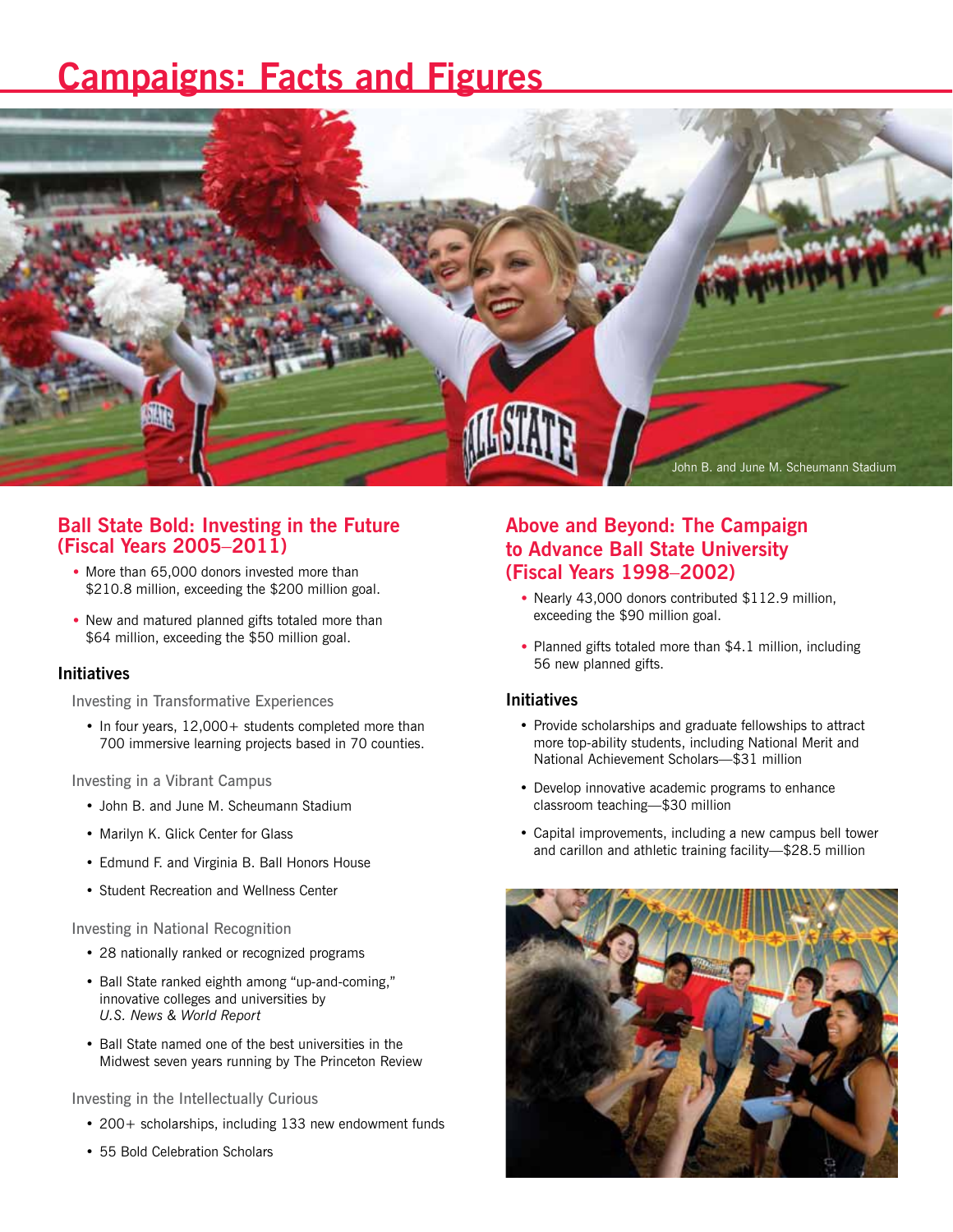## **Campaigns: Facts and Figures**



## **Ball State Bold: Investing in the Future (Fiscal Years 2005**–**2011)**

- More than 65,000 donors invested more than \$210.8 million, exceeding the \$200 million goal.
- New and matured planned gifts totaled more than \$64 million, exceeding the \$50 million goal.

### **Initiatives**

Investing in Transformative Experiences

• In four years, 12,000+ students completed more than 700 immersive learning projects based in 70 counties.

Investing in a Vibrant Campus

- John B. and June M. Scheumann Stadium
- Marilyn K. Glick Center for Glass
- Edmund F. and Virginia B. Ball Honors House
- Student Recreation and Wellness Center

Investing in National Recognition

- 28 nationally ranked or recognized programs
- Ball State ranked eighth among "up-and-coming," innovative colleges and universities by *U.S. News & World Report*
- Ball State named one of the best universities in the Midwest seven years running by The Princeton Review

Investing in the Intellectually Curious

- 200+ scholarships, including 133 new endowment funds
- 55 Bold Celebration Scholars

## **Above and Beyond: The Campaign to Advance Ball State University (Fiscal Years 1998**–**2002)**

- Nearly 43,000 donors contributed \$112.9 million, exceeding the \$90 million goal.
- Planned gifts totaled more than \$4.1 million, including 56 new planned gifts.

### **Initiatives**

- Provide scholarships and graduate fellowships to attract more top-ability students, including National Merit and National Achievement Scholars—\$31 million
- Develop innovative academic programs to enhance classroom teaching—\$30 million
- Capital improvements, including a new campus bell tower and carillon and athletic training facility—\$28.5 million

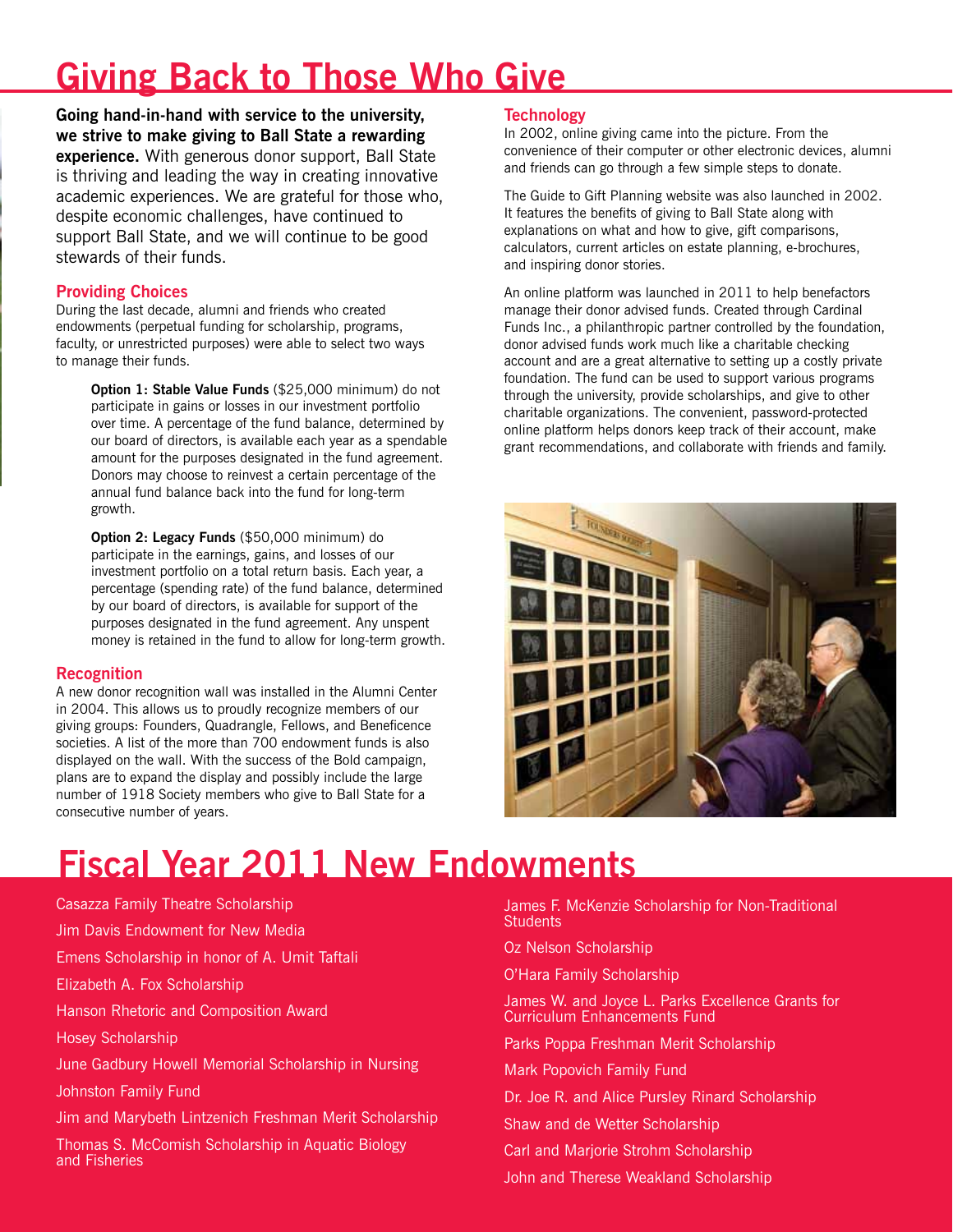## **Giving Back to Those Who Give**

**Going hand-in-hand with service to the university, we strive to make giving to Ball State a rewarding experience.** With generous donor support, Ball State is thriving and leading the way in creating innovative academic experiences. We are grateful for those who, despite economic challenges, have continued to support Ball State, and we will continue to be good stewards of their funds.

## **Providing Choices**

During the last decade, alumni and friends who created endowments (perpetual funding for scholarship, programs, faculty, or unrestricted purposes) were able to select two ways to manage their funds.

**Option 1: Stable Value Funds** (\$25,000 minimum) do not participate in gains or losses in our investment portfolio over time. A percentage of the fund balance, determined by our board of directors, is available each year as a spendable amount for the purposes designated in the fund agreement. Donors may choose to reinvest a certain percentage of the annual fund balance back into the fund for long-term growth.

**Option 2: Legacy Funds** (\$50,000 minimum) do participate in the earnings, gains, and losses of our investment portfolio on a total return basis. Each year, a percentage (spending rate) of the fund balance, determined by our board of directors, is available for support of the purposes designated in the fund agreement. Any unspent money is retained in the fund to allow for long-term growth.

## **Recognition**

A new donor recognition wall was installed in the Alumni Center in 2004. This allows us to proudly recognize members of our giving groups: Founders, Quadrangle, Fellows, and Beneficence societies. A list of the more than 700 endowment funds is also displayed on the wall. With the success of the Bold campaign, plans are to expand the display and possibly include the large number of 1918 Society members who give to Ball State for a consecutive number of years.

## **Technology**

In 2002, online giving came into the picture. From the convenience of their computer or other electronic devices, alumni and friends can go through a few simple steps to donate.

The Guide to Gift Planning website was also launched in 2002. It features the benefits of giving to Ball State along with explanations on what and how to give, gift comparisons, calculators, current articles on estate planning, e-brochures, and inspiring donor stories.

An online platform was launched in 2011 to help benefactors manage their donor advised funds. Created through Cardinal Funds Inc., a philanthropic partner controlled by the foundation, donor advised funds work much like a charitable checking account and are a great alternative to setting up a costly private foundation. The fund can be used to support various programs through the university, provide scholarships, and give to other charitable organizations. The convenient, password-protected online platform helps donors keep track of their account, make grant recommendations, and collaborate with friends and family.



## **Fiscal Year 2011 New Endowments**

Casazza Family Theatre Scholarship Jim Davis Endowment for New Media Emens Scholarship in honor of A. Umit Taftali Elizabeth A. Fox Scholarship Hanson Rhetoric and Composition Award Hosey Scholarship June Gadbury Howell Memorial Scholarship in Nursing Johnston Family Fund Jim and Marybeth Lintzenich Freshman Merit Scholarship Thomas S. McComish Scholarship in Aquatic Biology and Fisheries

James F. McKenzie Scholarship for Non-Traditional **Students** 

Oz Nelson Scholarship

O'Hara Family Scholarship

James W. and Joyce L. Parks Excellence Grants for Curriculum Enhancements Fund

Parks Poppa Freshman Merit Scholarship

Mark Popovich Family Fund

Dr. Joe R. and Alice Pursley Rinard Scholarship

Shaw and de Wetter Scholarship

Carl and Marjorie Strohm Scholarship

John and Therese Weakland Scholarship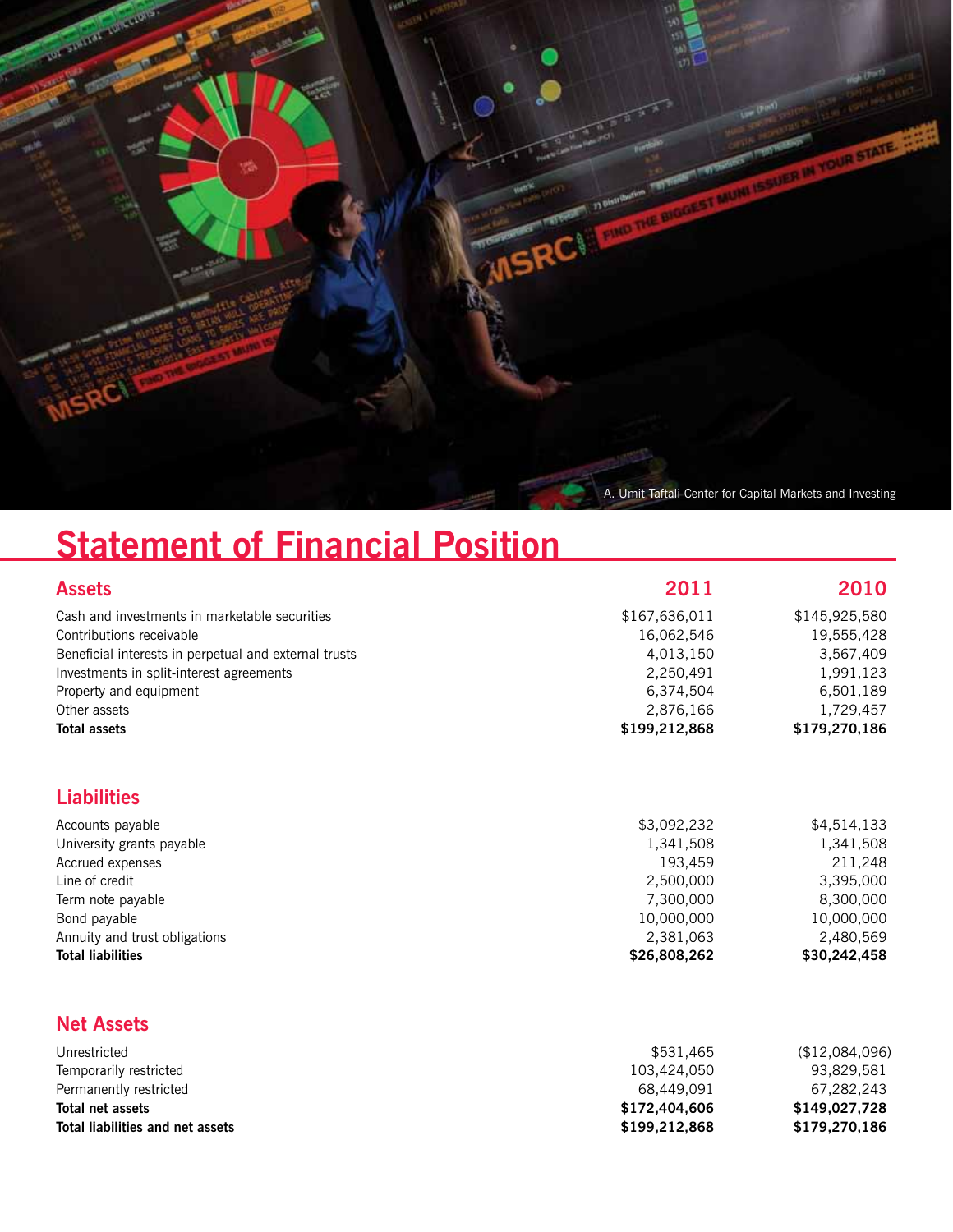

## **Statement of Financial Position**

| <b>Assets</b>                                         | 2011                     | 2010                         |
|-------------------------------------------------------|--------------------------|------------------------------|
| Cash and investments in marketable securities         | \$167,636,011            | \$145,925,580                |
| Contributions receivable                              | 16,062,546               | 19,555,428                   |
| Beneficial interests in perpetual and external trusts | 4,013,150                | 3,567,409                    |
| Investments in split-interest agreements              | 2,250,491                | 1,991,123                    |
| Property and equipment                                | 6,374,504                | 6,501,189                    |
| Other assets                                          | 2,876,166                | 1,729,457                    |
| <b>Total assets</b>                                   | \$199,212,868            | \$179,270,186                |
| <b>Liabilities</b>                                    |                          |                              |
| Accounts payable                                      | \$3,092,232              | \$4,514,133                  |
| University grants payable                             | 1,341,508                | 1,341,508                    |
| Accrued expenses                                      | 193,459                  | 211,248                      |
| Line of credit                                        | 2,500,000                | 3,395,000                    |
| Term note payable                                     | 7,300,000                | 8,300,000                    |
| Bond payable                                          | 10,000,000               | 10,000,000                   |
| Annuity and trust obligations                         | 2,381,063                | 2,480,569                    |
| <b>Total liabilities</b>                              | \$26,808,262             | \$30,242,458                 |
| <b>Net Assets</b>                                     |                          |                              |
|                                                       |                          |                              |
| Unrestricted                                          | \$531,465<br>103,424,050 | (\$12,084,096)<br>93,829,581 |
| Temporarily restricted<br>Permanently restricted      | 68,449,091               | 67,282,243                   |
| <b>Total net assets</b>                               | \$172,404,606            | \$149,027,728                |
|                                                       |                          |                              |

**Total liabilities and net assets \$199,212,868 \$179,270,186**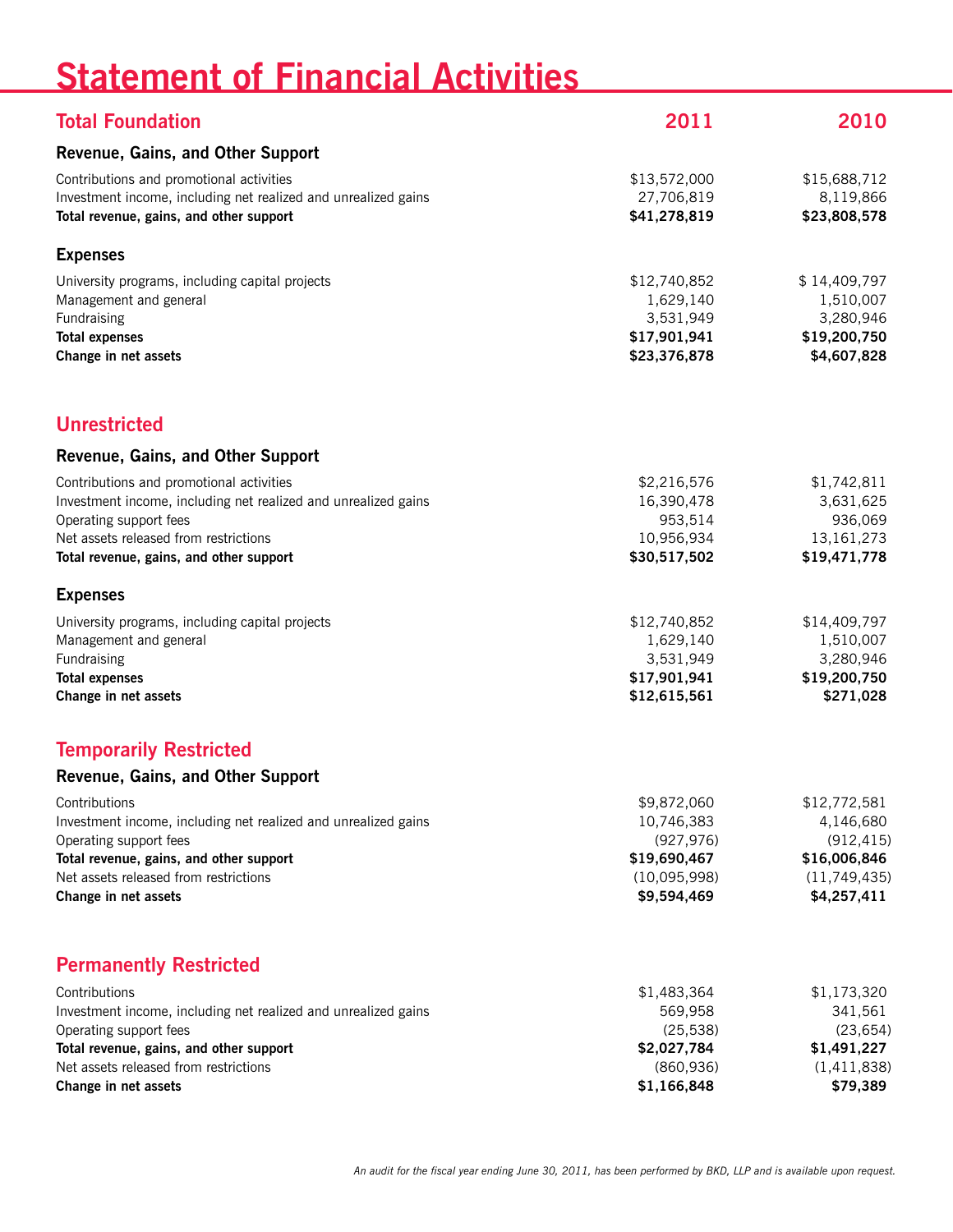## **Statement of Financial Activities**

| <b>Total Foundation</b>                                                                                                                                                                                                  | 2011                                                                                   | 2010                                                                                   |
|--------------------------------------------------------------------------------------------------------------------------------------------------------------------------------------------------------------------------|----------------------------------------------------------------------------------------|----------------------------------------------------------------------------------------|
| Revenue, Gains, and Other Support                                                                                                                                                                                        |                                                                                        |                                                                                        |
| Contributions and promotional activities<br>Investment income, including net realized and unrealized gains<br>Total revenue, gains, and other support                                                                    | \$13,572,000<br>27,706,819<br>\$41,278,819                                             | \$15,688,712<br>8,119,866<br>\$23,808,578                                              |
| <b>Expenses</b>                                                                                                                                                                                                          |                                                                                        |                                                                                        |
| University programs, including capital projects<br>Management and general<br>Fundraising<br><b>Total expenses</b><br>Change in net assets                                                                                | \$12,740,852<br>1,629,140<br>3,531,949<br>\$17,901,941<br>\$23,376,878                 | \$14,409,797<br>1,510,007<br>3,280,946<br>\$19,200,750<br>\$4,607,828                  |
| <b>Unrestricted</b>                                                                                                                                                                                                      |                                                                                        |                                                                                        |
| Revenue, Gains, and Other Support                                                                                                                                                                                        |                                                                                        |                                                                                        |
| Contributions and promotional activities<br>Investment income, including net realized and unrealized gains<br>Operating support fees<br>Net assets released from restrictions<br>Total revenue, gains, and other support | \$2,216,576<br>16,390,478<br>953,514<br>10,956,934<br>\$30,517,502                     | \$1,742,811<br>3,631,625<br>936,069<br>13, 161, 273<br>\$19,471,778                    |
| <b>Expenses</b>                                                                                                                                                                                                          |                                                                                        |                                                                                        |
| University programs, including capital projects<br>Management and general<br>Fundraising<br><b>Total expenses</b><br>Change in net assets                                                                                | \$12,740,852<br>1,629,140<br>3,531,949<br>\$17,901,941<br>\$12,615,561                 | \$14,409,797<br>1,510,007<br>3,280,946<br>\$19,200,750<br>\$271,028                    |
| <b>Temporarily Restricted</b>                                                                                                                                                                                            |                                                                                        |                                                                                        |
| Revenue, Gains, and Other Support                                                                                                                                                                                        |                                                                                        |                                                                                        |
| Contributions<br>Investment income, including net realized and unrealized gains<br>Operating support fees<br>Total revenue, gains, and other support<br>Net assets released from restrictions<br>Change in net assets    | \$9,872,060<br>10,746,383<br>(927, 976)<br>\$19,690,467<br>(10,095,998)<br>\$9,594,469 | \$12,772,581<br>4,146,680<br>(912, 415)<br>\$16,006,846<br>(11,749,435)<br>\$4,257,411 |
| <b>Permanently Restricted</b>                                                                                                                                                                                            |                                                                                        |                                                                                        |
| Contributions<br>Investment income, including net realized and unrealized gains<br>Operating support fees<br>Total revenue, gains, and other support<br>Net assets released from restrictions<br>Change in net assets    | \$1,483,364<br>569,958<br>(25, 538)<br>\$2,027,784<br>(860, 936)<br>\$1,166,848        | \$1,173,320<br>341,561<br>(23, 654)<br>\$1,491,227<br>(1,411,838)<br>\$79,389          |